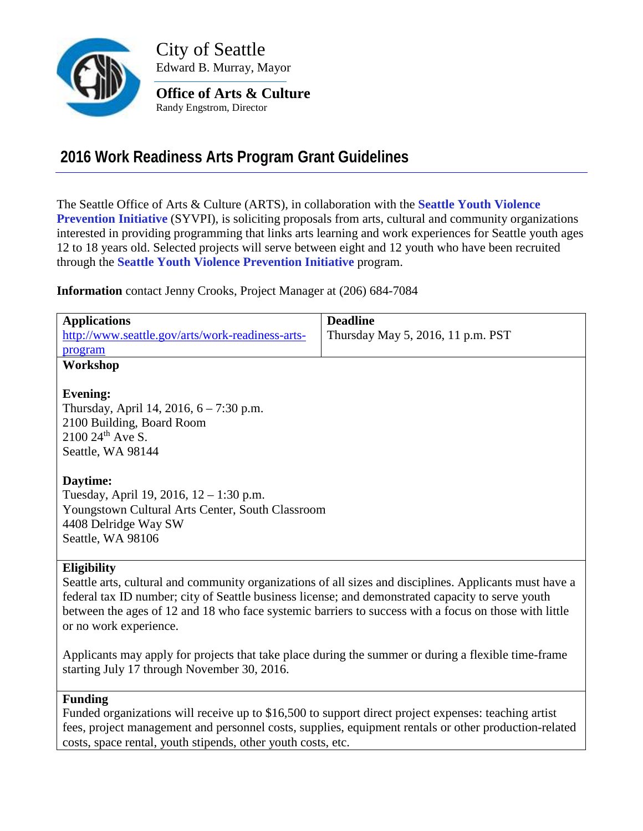

City of Seattle Edward B. Murray, Mayor

**Office of Arts & Culture** Randy Engstrom, Director

# **2016 Work Readiness Arts Program Grant Guidelines**

The Seattle Office of Arts & Culture (ARTS), in collaboration with the **[Seattle Youth Violence](http://safeyouthseattle.org/)  [Prevention Initiative](http://safeyouthseattle.org/)** (SYVPI), is soliciting proposals from arts, cultural and community organizations interested in providing programming that links arts learning and work experiences for Seattle youth ages 12 to 18 years old. Selected projects will serve between eight and 12 youth who have been recruited through the **[Seattle Youth Violence Prevention Initiative](http://safeyouthseattle.org/)** program.

**Information** contact Jenny Crooks, Project Manager at (206) 684-7084

| <b>Applications</b>                                                                                     | <b>Deadline</b>                   |
|---------------------------------------------------------------------------------------------------------|-----------------------------------|
| http://www.seattle.gov/arts/work-readiness-arts-                                                        | Thursday May 5, 2016, 11 p.m. PST |
| program                                                                                                 |                                   |
| Workshop                                                                                                |                                   |
|                                                                                                         |                                   |
| <b>Evening:</b>                                                                                         |                                   |
| Thursday, April 14, 2016, $6 - 7:30$ p.m.                                                               |                                   |
| 2100 Building, Board Room                                                                               |                                   |
| $2100\ 24$ <sup>th</sup> Ave S.                                                                         |                                   |
| Seattle, WA 98144                                                                                       |                                   |
|                                                                                                         |                                   |
| Daytime:                                                                                                |                                   |
| Tuesday, April 19, 2016, $12 - 1:30$ p.m.                                                               |                                   |
| Youngstown Cultural Arts Center, South Classroom                                                        |                                   |
| 4408 Delridge Way SW                                                                                    |                                   |
| Seattle, WA 98106                                                                                       |                                   |
|                                                                                                         |                                   |
| <b>Eligibility</b>                                                                                      |                                   |
| Seattle arts, cultural and community organizations of all sizes and disciplines. Applicants must have a |                                   |
| federal tay ID number; city of Seattle business license; and demonstrated canacity to serve youth       |                                   |

federal tax ID number; city of Seattle business license; and demonstrated capacity to serve youth between the ages of 12 and 18 who face systemic barriers to success with a focus on those with little or no work experience.

Applicants may apply for projects that take place during the summer or during a flexible time-frame starting July 17 through November 30, 2016.

#### **Funding**

Funded organizations will receive up to \$16,500 to support direct project expenses: teaching artist fees, project management and personnel costs, supplies, equipment rentals or other production-related costs, space rental, youth stipends, other youth costs, etc.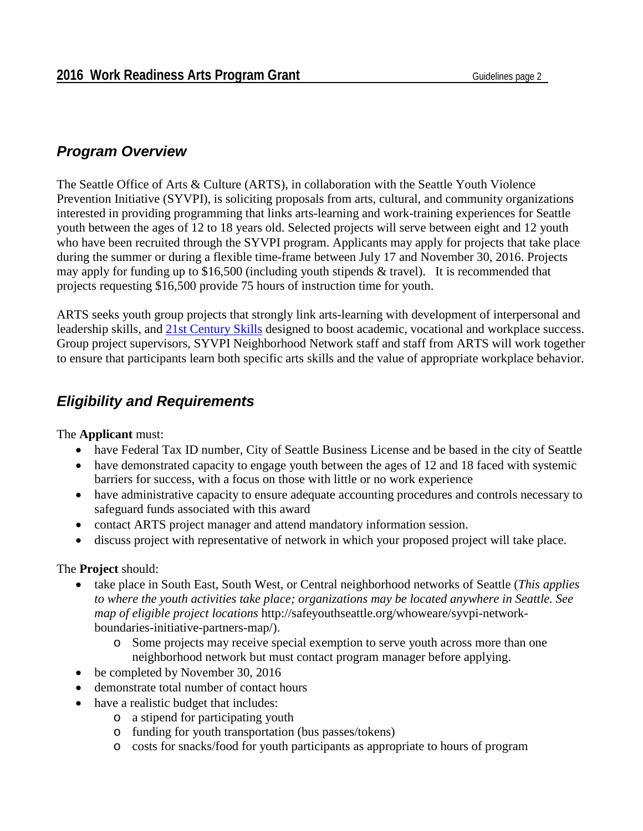### *Program Overview*

The Seattle Office of Arts & Culture (ARTS), in collaboration with the Seattle Youth Violence Prevention Initiative (SYVPI), is soliciting proposals from arts, cultural, and community organizations interested in providing programming that links arts-learning and work-training experiences for Seattle youth between the ages of 12 to 18 years old. Selected projects will serve between eight and 12 youth who have been recruited through the SYVPI program. Applicants may apply for projects that take place during the summer or during a flexible time-frame between July 17 and November 30, 2016. Projects may apply for funding up to \$16,500 (including youth stipends & travel). It is recommended that projects requesting \$16,500 provide 75 hours of instruction time for youth.

ARTS seeks youth group projects that strongly link arts-learning with development of interpersonal and leadership skills, and [21st Century Skills](http://www.seattle.gov/Documents/Departments/Arts/Downloads/Grants/Youth%20Arts/YA-Glossary.pdf) designed to boost academic, vocational and workplace success. Group project supervisors, SYVPI Neighborhood Network staff and staff from ARTS will work together to ensure that participants learn both specific arts skills and the value of appropriate workplace behavior.

## *Eligibility and Requirements*

#### The **Applicant** must:

- have Federal Tax ID number, City of Seattle Business License and be based in the city of Seattle
- have demonstrated capacity to engage youth between the ages of 12 and 18 faced with systemic barriers for success, with a focus on those with little or no work experience
- have administrative capacity to ensure adequate accounting procedures and controls necessary to safeguard funds associated with this award
- contact ARTS project manager and attend mandatory information session.
- discuss project with representative of network in which your proposed project will take place.

#### The **Project** should:

- take place in South East, South West, or Central neighborhood networks of Seattle (*This applies to where the youth activities take place; organizations may be located anywhere in Seattle. See map of eligible project locations* http://safeyouthseattle.org/whoweare/syvpi-networkboundaries-initiative-partners-map/).
	- o Some projects may receive special exemption to serve youth across more than one neighborhood network but must contact program manager before applying.
- be completed by November 30, 2016
- demonstrate total number of contact hours
- have a realistic budget that includes:
	- o a stipend for participating youth
	- o funding for youth transportation (bus passes/tokens)
	- o costs for snacks/food for youth participants as appropriate to hours of program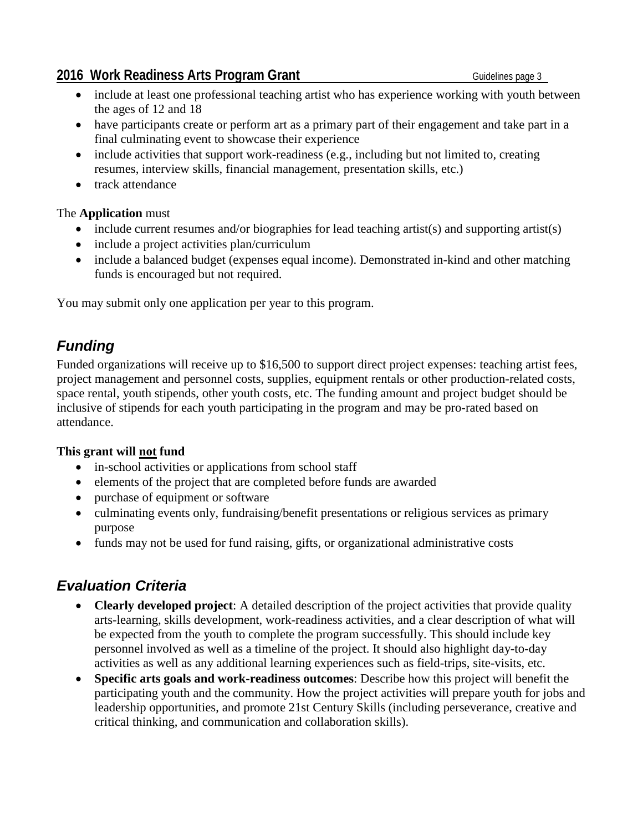#### **2016 Work Readiness Arts Program Grant** General Contract Cuidelines page 3

- include at least one professional teaching artist who has experience working with youth between the ages of 12 and 18
- have participants create or perform art as a primary part of their engagement and take part in a final culminating event to showcase their experience
- include activities that support work-readiness (e.g., including but not limited to, creating resumes, interview skills, financial management, presentation skills, etc.)
- track attendance

#### The **Application** must

- include current resumes and/or biographies for lead teaching artist(s) and supporting artist(s)
- include a project activities plan/curriculum
- include a balanced budget (expenses equal income). Demonstrated in-kind and other matching funds is encouraged but not required.

You may submit only one application per year to this program.

# *Funding*

Funded organizations will receive up to \$16,500 to support direct project expenses: teaching artist fees, project management and personnel costs, supplies, equipment rentals or other production-related costs, space rental, youth stipends, other youth costs, etc. The funding amount and project budget should be inclusive of stipends for each youth participating in the program and may be pro-rated based on attendance.

### **This grant will not fund**

- in-school activities or applications from school staff
- elements of the project that are completed before funds are awarded
- purchase of equipment or software
- culminating events only, fundraising/benefit presentations or religious services as primary purpose
- funds may not be used for fund raising, gifts, or organizational administrative costs

## *Evaluation Criteria*

- **Clearly developed project**: A detailed description of the project activities that provide quality arts-learning, skills development, work-readiness activities, and a clear description of what will be expected from the youth to complete the program successfully. This should include key personnel involved as well as a timeline of the project. It should also highlight day-to-day activities as well as any additional learning experiences such as field-trips, site-visits, etc.
- **Specific arts goals and work-readiness outcomes**: Describe how this project will benefit the participating youth and the community. How the project activities will prepare youth for jobs and leadership opportunities, and promote 21st Century Skills (including perseverance, creative and critical thinking, and communication and collaboration skills).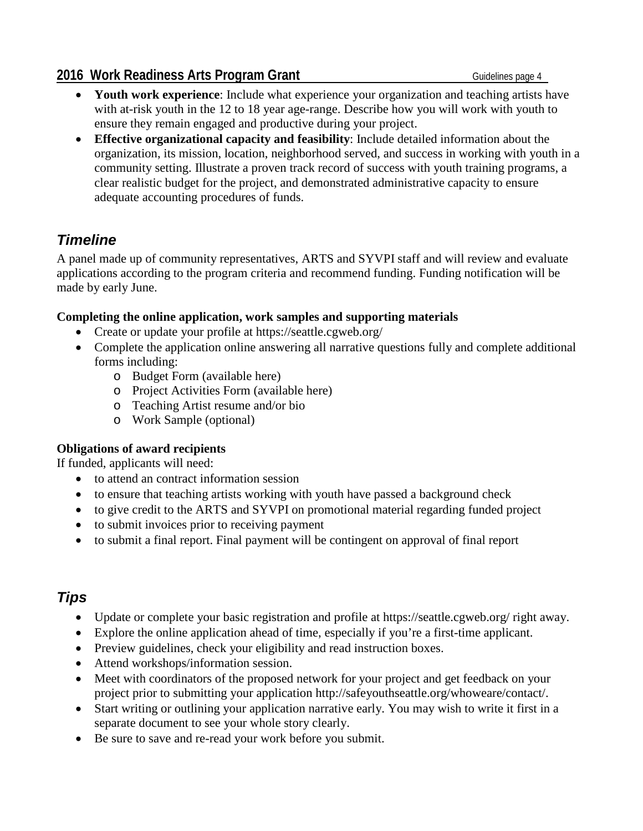### **2016 Work Readiness Arts Program Grant** Grant Guidelines page 4

- **Youth work experience**: Include what experience your organization and teaching artists have with at-risk youth in the 12 to 18 year age-range. Describe how you will work with youth to ensure they remain engaged and productive during your project.
- **Effective organizational capacity and feasibility**: Include detailed information about the organization, its mission, location, neighborhood served, and success in working with youth in a community setting. Illustrate a proven track record of success with youth training programs, a clear realistic budget for the project, and demonstrated administrative capacity to ensure adequate accounting procedures of funds.

## *Timeline*

A panel made up of community representatives, ARTS and SYVPI staff and will review and evaluate applications according to the program criteria and recommend funding. Funding notification will be made by early June.

### **Completing the online application, work samples and supporting materials**

- Create or update your profile at https://seattle.cgweb.org/
- Complete the application online answering all narrative questions fully and complete additional forms including:
	- o Budget Form (available here)
	- o Project Activities Form (available here)
	- o Teaching Artist resume and/or bio
	- o Work Sample (optional)

### **Obligations of award recipients**

If funded, applicants will need:

- to attend an contract information session
- to ensure that teaching artists working with youth have passed a background check
- to give credit to the ARTS and SYVPI on promotional material regarding funded project
- to submit invoices prior to receiving payment
- to submit a final report. Final payment will be contingent on approval of final report

## *Tips*

- Update or complete your basic registration and profile at https://seattle.cgweb.org/ right away.
- Explore the online application ahead of time, especially if you're a first-time applicant.
- Preview guidelines, check your eligibility and read instruction boxes.
- Attend workshops/information session.
- Meet with coordinators of the proposed network for your project and get feedback on your project prior to submitting your application http://safeyouthseattle.org/whoweare/contact/.
- Start writing or outlining your application narrative early. You may wish to write it first in a separate document to see your whole story clearly.
- Be sure to save and re-read your work before you submit.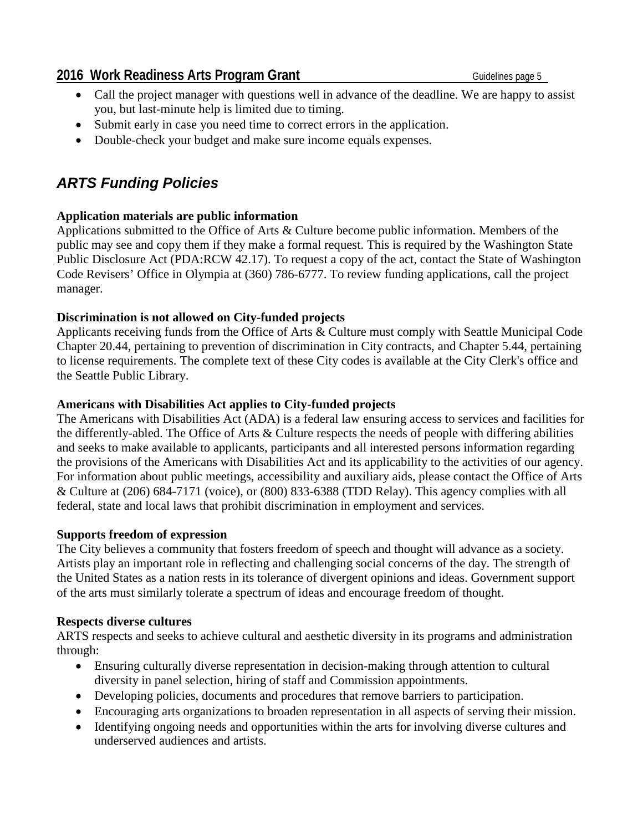- Call the project manager with questions well in advance of the deadline. We are happy to assist you, but last-minute help is limited due to timing.
- Submit early in case you need time to correct errors in the application.
- Double-check your budget and make sure income equals expenses.

## *ARTS Funding Policies*

### **Application materials are public information**

Applications submitted to the Office of Arts & Culture become public information. Members of the public may see and copy them if they make a formal request. This is required by the Washington State Public Disclosure Act (PDA:RCW 42.17). To request a copy of the act, contact the State of Washington Code Revisers' Office in Olympia at (360) 786-6777. To review funding applications, call the project manager.

### **Discrimination is not allowed on City-funded projects**

Applicants receiving funds from the Office of Arts & Culture must comply with Seattle Municipal Code Chapter 20.44, pertaining to prevention of discrimination in City contracts, and Chapter 5.44, pertaining to license requirements. The complete text of these City codes is available at the City Clerk's office and the Seattle Public Library.

### **Americans with Disabilities Act applies to City-funded projects**

The Americans with Disabilities Act (ADA) is a federal law ensuring access to services and facilities for the differently-abled. The Office of Arts & Culture respects the needs of people with differing abilities and seeks to make available to applicants, participants and all interested persons information regarding the provisions of the Americans with Disabilities Act and its applicability to the activities of our agency. For information about public meetings, accessibility and auxiliary aids, please contact the Office of Arts & Culture at (206) 684-7171 (voice), or (800) 833-6388 (TDD Relay). This agency complies with all federal, state and local laws that prohibit discrimination in employment and services.

#### **Supports freedom of expression**

The City believes a community that fosters freedom of speech and thought will advance as a society. Artists play an important role in reflecting and challenging social concerns of the day. The strength of the United States as a nation rests in its tolerance of divergent opinions and ideas. Government support of the arts must similarly tolerate a spectrum of ideas and encourage freedom of thought.

#### **Respects diverse cultures**

ARTS respects and seeks to achieve cultural and aesthetic diversity in its programs and administration through:

- Ensuring culturally diverse representation in decision-making through attention to cultural diversity in panel selection, hiring of staff and Commission appointments.
- Developing policies, documents and procedures that remove barriers to participation.
- Encouraging arts organizations to broaden representation in all aspects of serving their mission.
- Identifying ongoing needs and opportunities within the arts for involving diverse cultures and underserved audiences and artists.